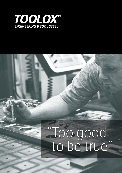

## "Too good to be true"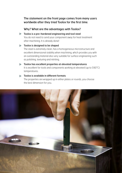The statement on the front page comes from many users worldwide after they tried Toolox for the first time.

Why? What are the advantages with Toolox?

**Toolox is a pre-hardened engineering and tool steel** You do not need to send your component away for heat treatment after machining. It is already done!

- **Toolox is designed to be shaped** The steel is extremely clean, has a homogeneous microstructure and excellent dimensional stability when machining, which provides you with an outstanding material also very suitable for surface engineering such as polishing, texturing and nitriting.
- Toolox has excellent properties at elevated temperatures It is excellent for tools and components working at elevated (up to 590°C) temperatures.
- **Toolox is available in different formats** The properties are wrapped up in either plates or rounds, you choose the best dimension for you.

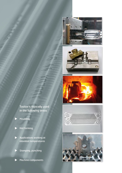





Toolox is typically used in the following areas

- **Moulding**
- Hot forming
- Applications working at elevated temperatures
- Stamping, punching
- Machine components